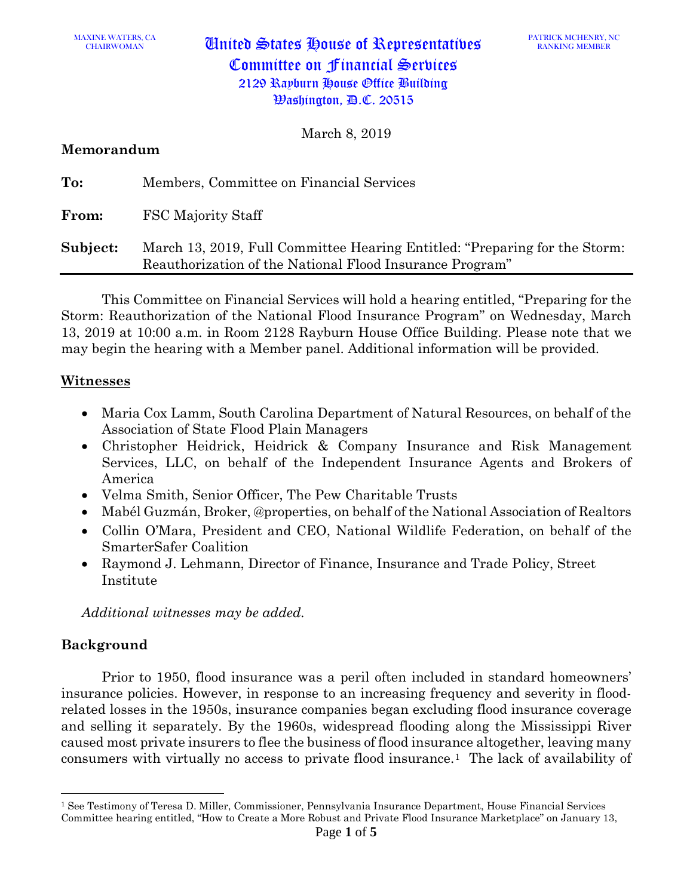CHAIRWOMAN United States House of Representatives Committee on Financial Services 2129 Rayburn House Office Building Washington, D.C. 20515

March 8, 2019

#### **Memorandum**

| To:      | Members, Committee on Financial Services                                                                                               |
|----------|----------------------------------------------------------------------------------------------------------------------------------------|
| From:    | <b>FSC Majority Staff</b>                                                                                                              |
| Subject: | March 13, 2019, Full Committee Hearing Entitled: "Preparing for the Storm:<br>Reauthorization of the National Flood Insurance Program" |

This Committee on Financial Services will hold a hearing entitled, "Preparing for the Storm: Reauthorization of the National Flood Insurance Program" on Wednesday, March 13, 2019 at 10:00 a.m. in Room 2128 Rayburn House Office Building. Please note that we may begin the hearing with a Member panel. Additional information will be provided.

#### **Witnesses**

- Maria Cox Lamm, South Carolina Department of Natural Resources, on behalf of the Association of State Flood Plain Managers
- Christopher Heidrick, Heidrick & Company Insurance and Risk Management Services, LLC, on behalf of the Independent Insurance Agents and Brokers of America
- Velma Smith, Senior Officer, The Pew Charitable Trusts
- Mabél Guzmán, Broker, @properties, on behalf of the National Association of Realtors
- Collin O'Mara, President and CEO, National Wildlife Federation, on behalf of the SmarterSafer Coalition
- Raymond J. Lehmann, Director of Finance, Insurance and Trade Policy, Street Institute

*Additional witnesses may be added.* 

#### **Background**

 $\overline{\phantom{a}}$ 

Prior to 1950, flood insurance was a peril often included in standard homeowners' insurance policies. However, in response to an increasing frequency and severity in floodrelated losses in the 1950s, insurance companies began excluding flood insurance coverage and selling it separately. By the 1960s, widespread flooding along the Mississippi River caused most private insurers to flee the business of flood insurance altogether, leaving many consumers with virtually no access to private flood insurance.[1](#page-0-0) The lack of availability of

<span id="page-0-0"></span><sup>1</sup> See Testimony of Teresa D. Miller, Commissioner, Pennsylvania Insurance Department, House Financial Services Committee hearing entitled, "How to Create a More Robust and Private Flood Insurance Marketplace" on January 13,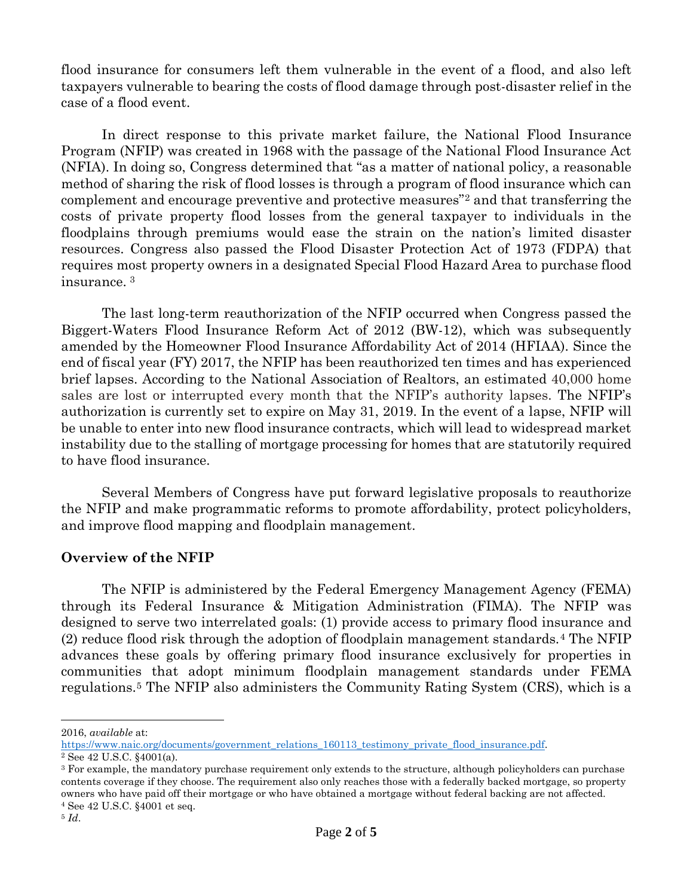flood insurance for consumers left them vulnerable in the event of a flood, and also left taxpayers vulnerable to bearing the costs of flood damage through post-disaster relief in the case of a flood event.

In direct response to this private market failure, the National Flood Insurance Program (NFIP) was created in 1968 with the passage of the National Flood Insurance Act (NFIA). In doing so, Congress determined that "as a matter of national policy, a reasonable method of sharing the risk of flood losses is through a program of flood insurance which can complement and encourage preventive and protective measures"[2](#page-1-0) and that transferring the costs of private property flood losses from the general taxpayer to individuals in the floodplains through premiums would ease the strain on the nation's limited disaster resources. Congress also passed the Flood Disaster Protection Act of 1973 (FDPA) that requires most property owners in a designated Special Flood Hazard Area to purchase flood insurance. [3](#page-1-1)

The last long-term reauthorization of the NFIP occurred when Congress passed the Biggert-Waters Flood Insurance Reform Act of 2012 (BW-12), which was subsequently amended by the Homeowner Flood Insurance Affordability Act of 2014 (HFIAA). Since the end of fiscal year (FY) 2017, the NFIP has been reauthorized ten times and has experienced brief lapses. According to the National Association of Realtors, an estimated 40,000 home sales are lost or interrupted every month that the NFIP's authority lapses. The NFIP's authorization is currently set to expire on May 31, 2019. In the event of a lapse, NFIP will be unable to enter into new flood insurance contracts, which will lead to widespread market instability due to the stalling of mortgage processing for homes that are statutorily required to have flood insurance.

Several Members of Congress have put forward legislative proposals to reauthorize the NFIP and make programmatic reforms to promote affordability, protect policyholders, and improve flood mapping and floodplain management.

#### **Overview of the NFIP**

The NFIP is administered by the Federal Emergency Management Agency (FEMA) through its Federal Insurance & Mitigation Administration (FIMA). The NFIP was designed to serve two interrelated goals: (1) provide access to primary flood insurance and (2) reduce flood risk through the adoption of floodplain management standards.[4](#page-1-2) The NFIP advances these goals by offering primary flood insurance exclusively for properties in communities that adopt minimum floodplain management standards under FEMA regulations.[5](#page-1-3) The NFIP also administers the Community Rating System (CRS), which is a

 $\overline{\phantom{a}}$ 

<sup>2016,</sup> *available* at:<br>https://www.naic.org/documents/government relations 160113 testimony private flood insurance.pdf.

<span id="page-1-1"></span><span id="page-1-0"></span> $\frac{2}{3}$  See 42 U.S.C. §4001(a).<br><sup>3</sup> For example, the mandatory purchase requirement only extends to the structure, although policyholders can purchase contents coverage if they choose. The requirement also only reaches those with a federally backed mortgage, so property owners who have paid off their mortgage or who have obtained a mortgage without federal backing are not affected. <sup>4</sup> See 42 U.S.C. §4001 et seq.

<span id="page-1-3"></span><span id="page-1-2"></span><sup>5</sup> *Id*.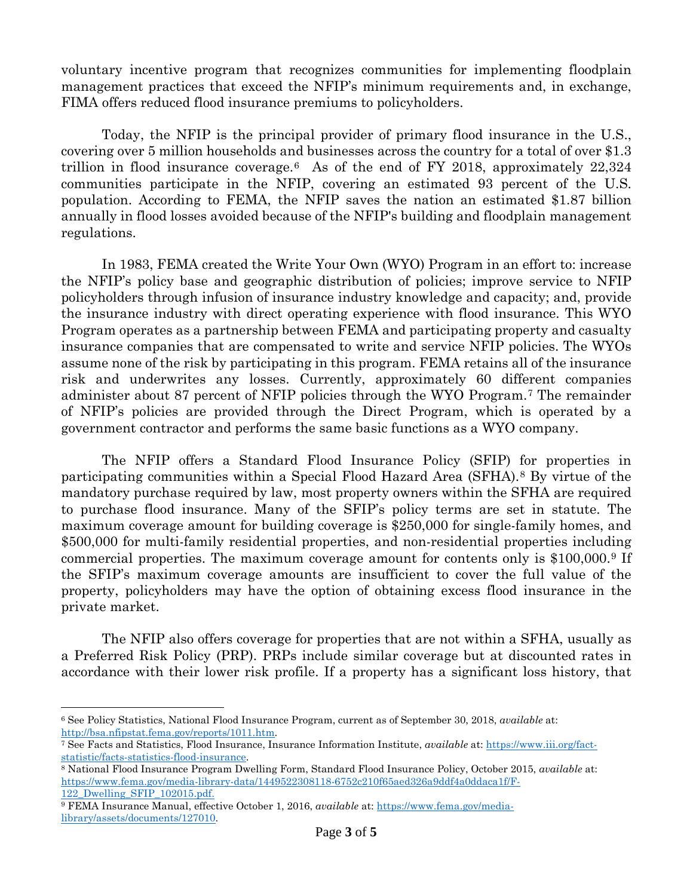voluntary incentive program that recognizes communities for implementing floodplain management practices that exceed the NFIP's minimum requirements and, in exchange, FIMA offers reduced flood insurance premiums to policyholders.

Today, the NFIP is the principal provider of primary flood insurance in the U.S., covering over 5 million households and businesses across the country for a total of over \$1.3 trillion in flood insurance coverage.<sup>[6](#page-2-0)</sup> As of the end of FY 2018, approximately  $22,324$ communities participate in the NFIP, covering an estimated 93 percent of the U.S. population. According to FEMA, the NFIP saves the nation an estimated \$1.87 billion annually in flood losses avoided because of the NFIP's building and floodplain management regulations.

In 1983, FEMA created the Write Your Own (WYO) Program in an effort to: increase the NFIP's policy base and geographic distribution of policies; improve service to NFIP policyholders through infusion of insurance industry knowledge and capacity; and, provide the insurance industry with direct operating experience with flood insurance. This WYO Program operates as a partnership between FEMA and participating property and casualty insurance companies that are compensated to write and service NFIP policies. The WYOs assume none of the risk by participating in this program. FEMA retains all of the insurance risk and underwrites any losses. Currently, approximately 60 different companies administer about 87 percent of NFIP policies through the WYO Program.[7](#page-2-1) The remainder of NFIP's policies are provided through the Direct Program, which is operated by a government contractor and performs the same basic functions as a WYO company.

The NFIP offers a Standard Flood Insurance Policy (SFIP) for properties in participating communities within a Special Flood Hazard Area (SFHA).[8](#page-2-2) By virtue of the mandatory purchase required by law, most property owners within the SFHA are required to purchase flood insurance. Many of the SFIP's policy terms are set in statute. The maximum coverage amount for building coverage is \$250,000 for single-family homes, and \$500,000 for multi-family residential properties, and non-residential properties including commercial properties. The maximum coverage amount for contents only is \$100,000.[9](#page-2-3) If the SFIP's maximum coverage amounts are insufficient to cover the full value of the property, policyholders may have the option of obtaining excess flood insurance in the private market.

The NFIP also offers coverage for properties that are not within a SFHA, usually as a Preferred Risk Policy (PRP). PRPs include similar coverage but at discounted rates in accordance with their lower risk profile. If a property has a significant loss history, that

l

<span id="page-2-0"></span><sup>6</sup> See Policy Statistics, National Flood Insurance Program, current as of September 30, 2018, *available* at: [http://bsa.nfipstat.fema.gov/reports/1011.htm.](http://bsa.nfipstat.fema.gov/reports/1011.htm) 7 See Facts and Statistics, Flood Insurance, Insurance Information Institute, *available* at: [https://www.iii.org/fact-](https://www.iii.org/fact-statistic/facts-statistics-flood-insurance)

<span id="page-2-1"></span>[statistic/facts-statistics-flood-insurance.](https://www.iii.org/fact-statistic/facts-statistics-flood-insurance) 8 National Flood Insurance Program Dwelling Form, Standard Flood Insurance Policy, October 2015, *available* at:

<span id="page-2-2"></span>[https://www.fema.gov/media-library-data/1449522308118-6752c210f65aed326a9ddf4a0ddaca1f/F-](https://www.fema.gov/media-library-data/1449522308118-6752c210f65aed326a9ddf4a0ddaca1f/F-122_Dwelling_SFIP_102015.pdf)

<span id="page-2-3"></span>[<sup>122</sup>\\_Dwelling\\_SFIP\\_102015.pdf.](https://www.fema.gov/media-library-data/1449522308118-6752c210f65aed326a9ddf4a0ddaca1f/F-122_Dwelling_SFIP_102015.pdf) 9 FEMA Insurance Manual, effective October 1, 2016, *available* at: [https://www.fema.gov/media](https://www.fema.gov/media-library/assets/documents/127010)[library/assets/documents/127010.](https://www.fema.gov/media-library/assets/documents/127010)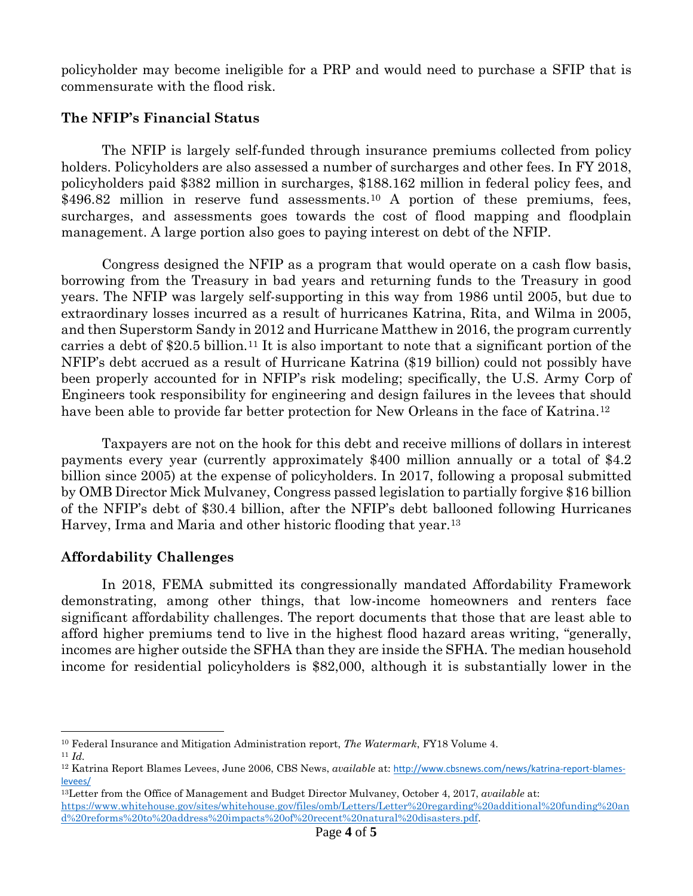policyholder may become ineligible for a PRP and would need to purchase a SFIP that is commensurate with the flood risk.

### **The NFIP's Financial Status**

The NFIP is largely self-funded through insurance premiums collected from policy holders. Policyholders are also assessed a number of surcharges and other fees. In FY 2018, policyholders paid \$382 million in surcharges, \$188.162 million in federal policy fees, and \$496.82 million in reserve fund assessments.<sup>[10](#page-3-0)</sup> A portion of these premiums, fees, surcharges, and assessments goes towards the cost of flood mapping and floodplain management. A large portion also goes to paying interest on debt of the NFIP.

Congress designed the NFIP as a program that would operate on a cash flow basis, borrowing from the Treasury in bad years and returning funds to the Treasury in good years. The NFIP was largely self-supporting in this way from 1986 until 2005, but due to extraordinary losses incurred as a result of hurricanes Katrina, Rita, and Wilma in 2005, and then Superstorm Sandy in 2012 and Hurricane Matthew in 2016, the program currently carries a debt of \$20.5 billion.[11](#page-3-1) It is also important to note that a significant portion of the NFIP's debt accrued as a result of Hurricane Katrina (\$19 billion) could not possibly have been properly accounted for in NFIP's risk modeling; specifically, the U.S. Army Corp of Engineers took responsibility for engineering and design failures in the levees that should have been able to provide far better protection for New Orleans in the face of Katrina.<sup>[12](#page-3-2)</sup>

Taxpayers are not on the hook for this debt and receive millions of dollars in interest payments every year (currently approximately \$400 million annually or a total of \$4.2 billion since 2005) at the expense of policyholders. In 2017, following a proposal submitted by OMB Director Mick Mulvaney, Congress passed legislation to partially forgive \$16 billion of the NFIP's debt of \$30.4 billion, after the NFIP's debt ballooned following Hurricanes Harvey, Irma and Maria and other historic flooding that year.[13](#page-3-3)

## **Affordability Challenges**

In 2018, FEMA submitted its congressionally mandated Affordability Framework demonstrating, among other things, that low-income homeowners and renters face significant affordability challenges. The report documents that those that are least able to afford higher premiums tend to live in the highest flood hazard areas writing, "generally, incomes are higher outside the SFHA than they are inside the SFHA. The median household income for residential policyholders is \$82,000, although it is substantially lower in the

<span id="page-3-0"></span>l <sup>10</sup> Federal Insurance and Mitigation Administration report, *The Watermark*, FY18 Volume 4. 11 *Id.* 

<span id="page-3-1"></span>

<span id="page-3-2"></span><sup>12</sup> Katrina Report Blames Levees, June 2006, CBS News, *available* at: [http://www.cbsnews.com/news/katrina-report-blames](http://www.cbsnews.com/news/katrina-report-blames-levees/)[levees/](http://www.cbsnews.com/news/katrina-report-blames-levees/)

<span id="page-3-3"></span><sup>13</sup>Letter from the Office of Management and Budget Director Mulvaney, October 4, 2017, *available* at:

[https://www.whitehouse.gov/sites/whitehouse.gov/files/omb/Letters/Letter%20regarding%20additional%20funding%20an](https://www.whitehouse.gov/sites/whitehouse.gov/files/omb/Letters/Letter%20regarding%20additional%20funding%20and%20reforms%20to%20address%20impacts%20of%20recent%20natural%20disasters.pdf) [d%20reforms%20to%20address%20impacts%20of%20recent%20natural%20disasters.pdf.](https://www.whitehouse.gov/sites/whitehouse.gov/files/omb/Letters/Letter%20regarding%20additional%20funding%20and%20reforms%20to%20address%20impacts%20of%20recent%20natural%20disasters.pdf)